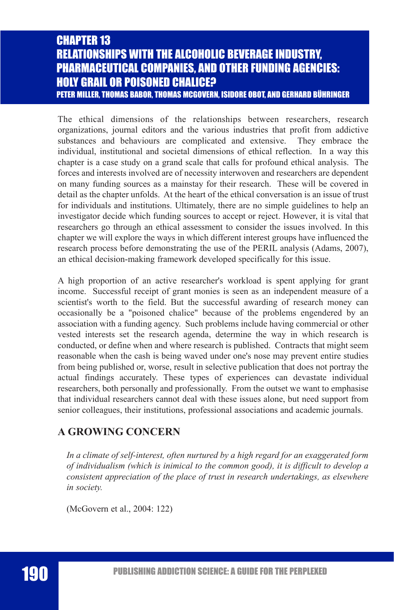# CHAPTER 13 RELATIONSHIPS WITH THE ALCOHOLIC BEVERAGE INDUSTRY, PHARMACEUTICAL COMPANIES, AND OTHER FUNDING AGENCIES: HOLY GRAIL OR POISONED CHALICE?

PETER MILLER, THOMAS BABOR, THOMAS MCGOVERN, ISIDORE OBOT, AND GERHARD BÜHRINGER

The ethical dimensions of the relationships between researchers, research organizations, journal editors and the various industries that profit from addictive substances and behaviours are complicated and extensive. They embrace the individual, institutional and societal dimensions of ethical reflection. In a way this chapter is a case study on a grand scale that calls for profound ethical analysis. The forces and interests involved are of necessity interwoven and researchers are dependent on many funding sources as a mainstay for their research. These will be covered in detail as the chapter unfolds. At the heart of the ethical conversation is an issue of trust for individuals and institutions. Ultimately, there are no simple guidelines to help an investigator decide which funding sources to accept or reject. However, it is vital that researchers go through an ethical assessment to consider the issues involved. In this chapter we will explore the ways in which different interest groups have influenced the research process before demonstrating the use of the PERIL analysis (Adams, 2007), an ethical decision-making framework developed specifically for this issue.

A high proportion of an active researcher's workload is spent applying for grant income. Successful receipt of grant monies is seen as an independent measure of a scientist's worth to the field. But the successful awarding of research money can occasionally be a "poisoned chalice" because of the problems engendered by an association with a funding agency. Such problems include having commercial or other vested interests set the research agenda, determine the way in which research is conducted, or define when and where research is published. Contracts that might seem reasonable when the cash is being waved under one's nose may prevent entire studies from being published or, worse, result in selective publication that does not portray the actual findings accurately. These types of experiences can devastate individual researchers, both personally and professionally. From the outset we want to emphasise that individual researchers cannot deal with these issues alone, but need support from senior colleagues, their institutions, professional associations and academic journals.

### **A GROWING CONCERN**

*In a climate of self-interest, often nurtured by a high regard for an exaggerated form of individualism (which is inimical to the common good), it is difficult to develop a consistent appreciation of the place of trust in research undertakings, as elsewhere in society.* 

(McGovern et al., 2004: 122)

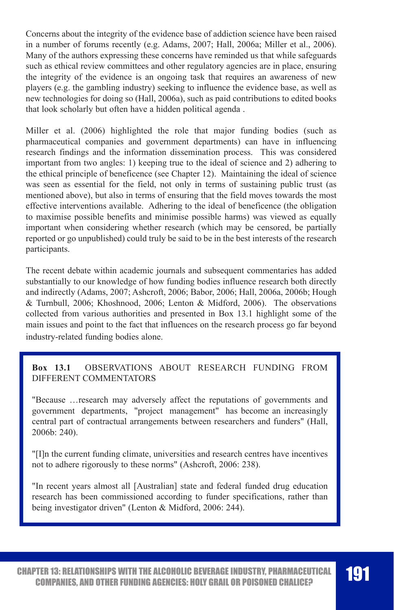Concerns about the integrity of the evidence base of addiction science have been raised in a number of forums recently (e.g. Adams, 2007; Hall, 2006a; Miller et al., 2006). Many of the authors expressing these concerns have reminded us that while safeguards such as ethical review committees and other regulatory agencies are in place, ensuring the integrity of the evidence is an ongoing task that requires an awareness of new players (e.g. the gambling industry) seeking to influence the evidence base, as well as new technologies for doing so (Hall, 2006a), such as paid contributions to edited books that look scholarly but often have a hidden political agenda .

Miller et al. (2006) highlighted the role that major funding bodies (such as pharmaceutical companies and government departments) can have in influencing research findings and the information dissemination process. This was considered important from two angles: 1) keeping true to the ideal of science and 2) adhering to the ethical principle of beneficence (see Chapter 12). Maintaining the ideal of science was seen as essential for the field, not only in terms of sustaining public trust (as mentioned above), but also in terms of ensuring that the field moves towards the most effective interventions available. Adhering to the ideal of beneficence (the obligation to maximise possible benefits and minimise possible harms) was viewed as equally important when considering whether research (which may be censored, be partially reported or go unpublished) could truly be said to be in the best interests of the research participants.

The recent debate within academic journals and subsequent commentaries has added substantially to our knowledge of how funding bodies influence research both directly and indirectly (Adams, 2007; Ashcroft, 2006; Babor, 2006; Hall, 2006a, 2006b; Hough & Turnbull, 2006; Khoshnood, 2006; Lenton & Midford, 2006). The observations collected from various authorities and presented in Box 13.1 highlight some of the main issues and point to the fact that influences on the research process go far beyond industry-related funding bodies alone.

#### **Box 13.1** OBSERVATIONS ABOUT RESEARCH FUNDING FROM DIFFERENT COMMENTATORS

"Because …research may adversely affect the reputations of governments and government departments, "project management" has become an increasingly central part of contractual arrangements between researchers and funders" (Hall, 2006b: 240).

"[I]n the current funding climate, universities and research centres have incentives not to adhere rigorously to these norms" (Ashcroft, 2006: 238).

"In recent years almost all [Australian] state and federal funded drug education research has been commissioned according to funder specifications, rather than being investigator driven" (Lenton & Midford, 2006: 244).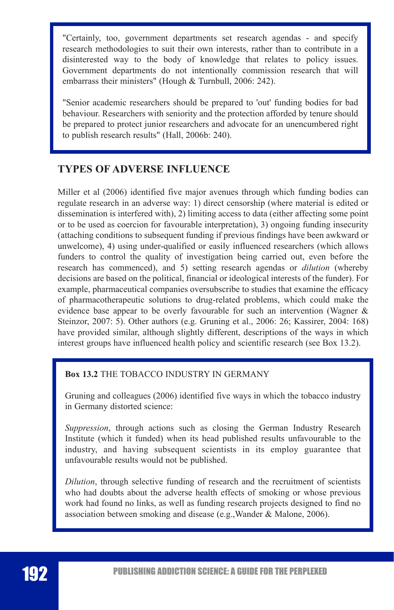"Certainly, too, government departments set research agendas - and specify research methodologies to suit their own interests, rather than to contribute in a disinterested way to the body of knowledge that relates to policy issues. Government departments do not intentionally commission research that will embarrass their ministers" (Hough & Turnbull, 2006: 242).

"Senior academic researchers should be prepared to 'out' funding bodies for bad behaviour. Researchers with seniority and the protection afforded by tenure should be prepared to protect junior researchers and advocate for an unencumbered right to publish research results" (Hall, 2006b: 240).

## **TYPES OF ADVERSE INFLUENCE**

Miller et al (2006) identified five major avenues through which funding bodies can regulate research in an adverse way: 1) direct censorship (where material is edited or dissemination is interfered with), 2) limiting access to data (either affecting some point or to be used as coercion for favourable interpretation), 3) ongoing funding insecurity (attaching conditions to subsequent funding if previous findings have been awkward or unwelcome), 4) using under-qualified or easily influenced researchers (which allows funders to control the quality of investigation being carried out, even before the research has commenced), and 5) setting research agendas or *dilution* (whereby decisions are based on the political, financial or ideological interests of the funder). For example, pharmaceutical companies oversubscribe to studies that examine the efficacy of pharmacotherapeutic solutions to drug-related problems, which could make the evidence base appear to be overly favourable for such an intervention (Wagner & Steinzor, 2007: 5). Other authors (e.g. Gruning et al., 2006: 26; Kassirer, 2004: 168) have provided similar, although slightly different, descriptions of the ways in which interest groups have influenced health policy and scientific research (see Box 13.2).

#### **Box 13.2** THE TOBACCO INDUSTRY IN GERMANY

Gruning and colleagues (2006) identified five ways in which the tobacco industry in Germany distorted science:

*Suppression*, through actions such as closing the German Industry Research Institute (which it funded) when its head published results unfavourable to the industry, and having subsequent scientists in its employ guarantee that unfavourable results would not be published.

*Dilution*, through selective funding of research and the recruitment of scientists who had doubts about the adverse health effects of smoking or whose previous work had found no links, as well as funding research projects designed to find no association between smoking and disease (e.g.,Wander & Malone, 2006).

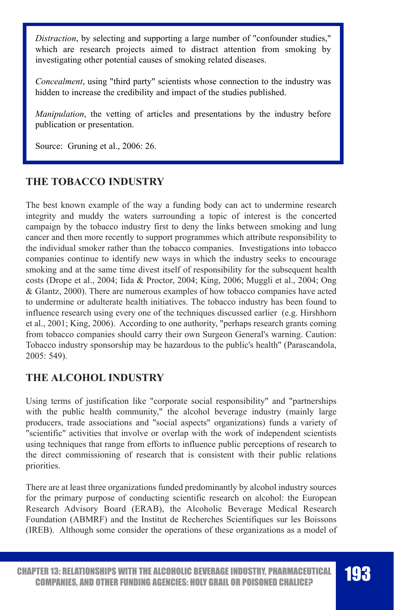*Distraction*, by selecting and supporting a large number of "confounder studies," which are research projects aimed to distract attention from smoking by investigating other potential causes of smoking related diseases.

*Concealment*, using "third party" scientists whose connection to the industry was hidden to increase the credibility and impact of the studies published.

*Manipulation*, the vetting of articles and presentations by the industry before publication or presentation.

Source: Gruning et al., 2006: 26.

## **THE TOBACCO INDUSTRY**

The best known example of the way a funding body can act to undermine research integrity and muddy the waters surrounding a topic of interest is the concerted campaign by the tobacco industry first to deny the links between smoking and lung cancer and then more recently to support programmes which attribute responsibility to the individual smoker rather than the tobacco companies. Investigations into tobacco companies continue to identify new ways in which the industry seeks to encourage smoking and at the same time divest itself of responsibility for the subsequent health costs (Drope et al., 2004; Iida & Proctor, 2004; King, 2006; Muggli et al., 2004; Ong & Glantz, 2000). There are numerous examples of how tobacco companies have acted to undermine or adulterate health initiatives. The tobacco industry has been found to influence research using every one of the techniques discussed earlier (e.g. Hirshhorn et al., 2001; King, 2006). According to one authority, "perhaps research grants coming from tobacco companies should carry their own Surgeon General's warning. Caution: Tobacco industry sponsorship may be hazardous to the public's health" (Parascandola, 2005: 549).

# **THE ALCOHOL INDUSTRY**

Using terms of justification like "corporate social responsibility" and "partnerships with the public health community," the alcohol beverage industry (mainly large producers, trade associations and "social aspects" organizations) funds a variety of "scientific" activities that involve or overlap with the work of independent scientists using techniques that range from efforts to influence public perceptions of research to the direct commissioning of research that is consistent with their public relations priorities.

There are at least three organizations funded predominantly by alcohol industry sources for the primary purpose of conducting scientific research on alcohol: the European Research Advisory Board (ERAB), the Alcoholic Beverage Medical Research Foundation (ABMRF) and the Institut de Recherches Scientifiques sur les Boissons (IREB). Although some consider the operations of these organizations as a model of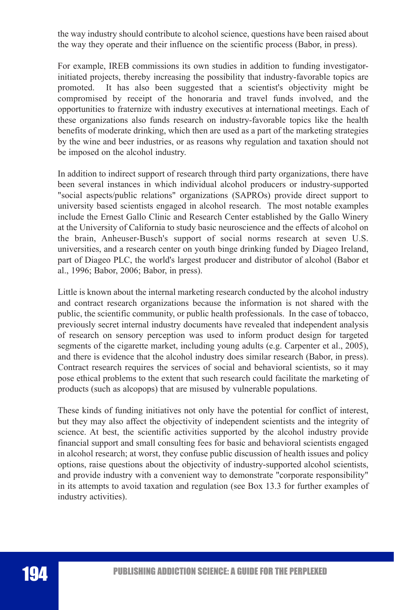the way industry should contribute to alcohol science, questions have been raised about the way they operate and their influence on the scientific process (Babor, in press).

For example, IREB commissions its own studies in addition to funding investigatorinitiated projects, thereby increasing the possibility that industry-favorable topics are promoted. It has also been suggested that a scientist's objectivity might be compromised by receipt of the honoraria and travel funds involved, and the opportunities to fraternize with industry executives at international meetings. Each of these organizations also funds research on industry-favorable topics like the health benefits of moderate drinking, which then are used as a part of the marketing strategies by the wine and beer industries, or as reasons why regulation and taxation should not be imposed on the alcohol industry.

In addition to indirect support of research through third party organizations, there have been several instances in which individual alcohol producers or industry-supported "social aspects/public relations" organizations (SAPROs) provide direct support to university based scientists engaged in alcohol research. The most notable examples include the Ernest Gallo Clinic and Research Center established by the Gallo Winery at the University of California to study basic neuroscience and the effects of alcohol on the brain, Anheuser-Busch's support of social norms research at seven U.S. universities, and a research center on youth binge drinking funded by Diageo Ireland, part of Diageo PLC, the world's largest producer and distributor of alcohol (Babor et al., 1996; Babor, 2006; Babor, in press).

Little is known about the internal marketing research conducted by the alcohol industry and contract research organizations because the information is not shared with the public, the scientific community, or public health professionals. In the case of tobacco, previously secret internal industry documents have revealed that independent analysis of research on sensory perception was used to inform product design for targeted segments of the cigarette market, including young adults (e.g. Carpenter et al., 2005), and there is evidence that the alcohol industry does similar research (Babor, in press). Contract research requires the services of social and behavioral scientists, so it may pose ethical problems to the extent that such research could facilitate the marketing of products (such as alcopops) that are misused by vulnerable populations.

These kinds of funding initiatives not only have the potential for conflict of interest, but they may also affect the objectivity of independent scientists and the integrity of science. At best, the scientific activities supported by the alcohol industry provide financial support and small consulting fees for basic and behavioral scientists engaged in alcohol research; at worst, they confuse public discussion of health issues and policy options, raise questions about the objectivity of industry-supported alcohol scientists, and provide industry with a convenient way to demonstrate "corporate responsibility" in its attempts to avoid taxation and regulation (see Box 13.3 for further examples of industry activities).

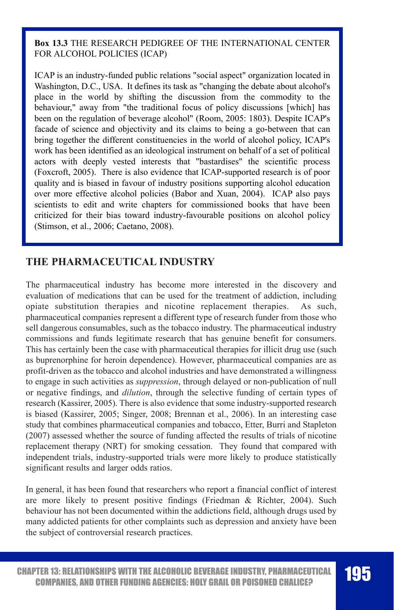#### **Box 13.3** THE RESEARCH PEDIGREE OF THE INTERNATIONAL CENTER FOR ALCOHOL POLICIES (ICAP)

ICAP is an industry-funded public relations "social aspect" organization located in Washington, D.C., USA. It defines its task as "changing the debate about alcohol's place in the world by shifting the discussion from the commodity to the behaviour," away from "the traditional focus of policy discussions [which] has been on the regulation of beverage alcohol" (Room, 2005: 1803). Despite ICAP's facade of science and objectivity and its claims to being a go-between that can bring together the different constituencies in the world of alcohol policy, ICAP's work has been identified as an ideological instrument on behalf of a set of political actors with deeply vested interests that "bastardises" the scientific process (Foxcroft, 2005). There is also evidence that ICAP-supported research is of poor quality and is biased in favour of industry positions supporting alcohol education over more effective alcohol policies (Babor and Xuan, 2004). ICAP also pays scientists to edit and write chapters for commissioned books that have been criticized for their bias toward industry-favourable positions on alcohol policy (Stimson, et al., 2006; Caetano, 2008).

## **THE PHARMACEUTICAL INDUSTRY**

The pharmaceutical industry has become more interested in the discovery and evaluation of medications that can be used for the treatment of addiction, including opiate substitution therapies and nicotine replacement therapies. As such, pharmaceutical companies represent a different type of research funder from those who sell dangerous consumables, such as the tobacco industry. The pharmaceutical industry commissions and funds legitimate research that has genuine benefit for consumers. This has certainly been the case with pharmaceutical therapies for illicit drug use (such as buprenorphine for heroin dependence). However, pharmaceutical companies are as profit-driven as the tobacco and alcohol industries and have demonstrated a willingness to engage in such activities as *suppression*, through delayed or non-publication of null or negative findings, and *dilution*, through the selective funding of certain types of research (Kassirer, 2005). There is also evidence that some industry-supported research is biased (Kassirer, 2005; Singer, 2008; Brennan et al., 2006). In an interesting case study that combines pharmaceutical companies and tobacco, Etter, Burri and Stapleton (2007) assessed whether the source of funding affected the results of trials of nicotine replacement therapy (NRT) for smoking cessation. They found that compared with independent trials, industry-supported trials were more likely to produce statistically significant results and larger odds ratios.

In general, it has been found that researchers who report a financial conflict of interest are more likely to present positive findings (Friedman & Richter, 2004). Such behaviour has not been documented within the addictions field, although drugs used by many addicted patients for other complaints such as depression and anxiety have been the subject of controversial research practices.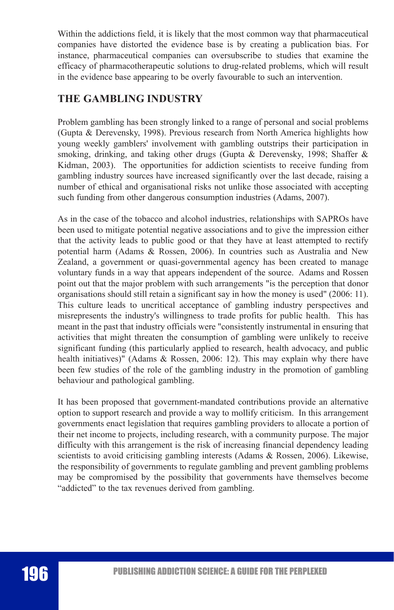Within the addictions field, it is likely that the most common way that pharmaceutical companies have distorted the evidence base is by creating a publication bias. For instance, pharmaceutical companies can oversubscribe to studies that examine the efficacy of pharmacotherapeutic solutions to drug-related problems, which will result in the evidence base appearing to be overly favourable to such an intervention.

# **THE GAMBLING INDUSTRY**

Problem gambling has been strongly linked to a range of personal and social problems (Gupta & Derevensky, 1998). Previous research from North America highlights how young weekly gamblers' involvement with gambling outstrips their participation in smoking, drinking, and taking other drugs (Gupta & Derevensky, 1998; Shaffer & Kidman, 2003). The opportunities for addiction scientists to receive funding from gambling industry sources have increased significantly over the last decade, raising a number of ethical and organisational risks not unlike those associated with accepting such funding from other dangerous consumption industries (Adams, 2007).

As in the case of the tobacco and alcohol industries, relationships with SAPROs have been used to mitigate potential negative associations and to give the impression either that the activity leads to public good or that they have at least attempted to rectify potential harm (Adams & Rossen, 2006). In countries such as Australia and New Zealand, a government or quasi-governmental agency has been created to manage voluntary funds in a way that appears independent of the source. Adams and Rossen point out that the major problem with such arrangements "is the perception that donor organisations should still retain a significant say in how the money is used" (2006: 11). This culture leads to uncritical acceptance of gambling industry perspectives and misrepresents the industry's willingness to trade profits for public health. This has meant in the past that industry officials were "consistently instrumental in ensuring that activities that might threaten the consumption of gambling were unlikely to receive significant funding (this particularly applied to research, health advocacy, and public health initiatives)" (Adams & Rossen, 2006: 12). This may explain why there have been few studies of the role of the gambling industry in the promotion of gambling behaviour and pathological gambling.

It has been proposed that government-mandated contributions provide an alternative option to support research and provide a way to mollify criticism. In this arrangement governments enact legislation that requires gambling providers to allocate a portion of their net income to projects, including research, with a community purpose. The major difficulty with this arrangement is the risk of increasing financial dependency leading scientists to avoid criticising gambling interests (Adams & Rossen, 2006). Likewise, the responsibility of governments to regulate gambling and prevent gambling problems may be compromised by the possibility that governments have themselves become "addicted" to the tax revenues derived from gambling.

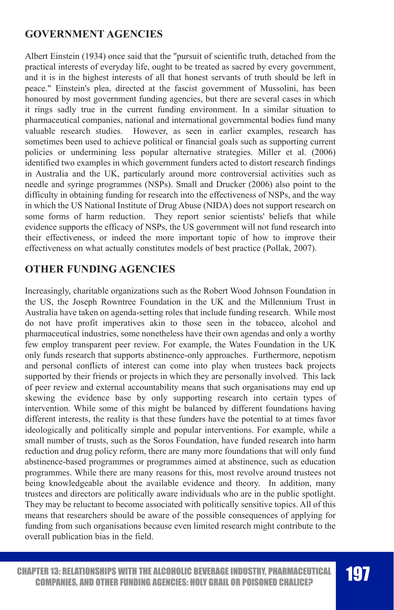## **GOVERNMENT AGENCIES**

Albert Einstein (1934) once said that the "pursuit of scientific truth, detached from the practical interests of everyday life, ought to be treated as sacred by every government, and it is in the highest interests of all that honest servants of truth should be left in peace." Einstein's plea, directed at the fascist government of Mussolini, has been honoured by most government funding agencies, but there are several cases in which it rings sadly true in the current funding environment. In a similar situation to pharmaceutical companies, national and international governmental bodies fund many valuable research studies. However, as seen in earlier examples, research has sometimes been used to achieve political or financial goals such as supporting current policies or undermining less popular alternative strategies. Miller et al. (2006) identified two examples in which government funders acted to distort research findings in Australia and the UK, particularly around more controversial activities such as needle and syringe programmes (NSPs). Small and Drucker (2006) also point to the difficulty in obtaining funding for research into the effectiveness of NSPs, and the way in which the US National Institute of Drug Abuse (NIDA) does not support research on some forms of harm reduction. They report senior scientists' beliefs that while evidence supports the efficacy of NSPs, the US government will not fund research into their effectiveness, or indeed the more important topic of how to improve their effectiveness on what actually constitutes models of best practice (Pollak, 2007).

### **OTHER FUNDING AGENCIES**

Increasingly, charitable organizations such as the Robert Wood Johnson Foundation in the US, the Joseph Rowntree Foundation in the UK and the Millennium Trust in Australia have taken on agenda-setting roles that include funding research. While most do not have profit imperatives akin to those seen in the tobacco, alcohol and pharmaceutical industries, some nonetheless have their own agendas and only a worthy few employ transparent peer review. For example, the Wates Foundation in the UK only funds research that supports abstinence-only approaches. Furthermore, nepotism and personal conflicts of interest can come into play when trustees back projects supported by their friends or projects in which they are personally involved. This lack of peer review and external accountability means that such organisations may end up skewing the evidence base by only supporting research into certain types of intervention. While some of this might be balanced by different foundations having different interests, the reality is that these funders have the potential to at times favor ideologically and politically simple and popular interventions. For example, while a small number of trusts, such as the Soros Foundation, have funded research into harm reduction and drug policy reform, there are many more foundations that will only fund abstinence-based programmes or programmes aimed at abstinence, such as education programmes. While there are many reasons for this, most revolve around trustees not being knowledgeable about the available evidence and theory. In addition, many trustees and directors are politically aware individuals who are in the public spotlight. They may be reluctant to become associated with politically sensitive topics. All of this means that researchers should be aware of the possible consequences of applying for funding from such organisations because even limited research might contribute to the overall publication bias in the field.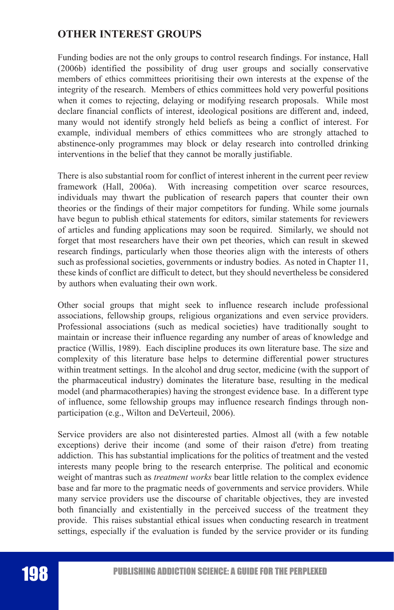## **OTHER INTEREST GROUPS**

Funding bodies are not the only groups to control research findings. For instance, Hall (2006b) identified the possibility of drug user groups and socially conservative members of ethics committees prioritising their own interests at the expense of the integrity of the research. Members of ethics committees hold very powerful positions when it comes to rejecting, delaying or modifying research proposals. While most declare financial conflicts of interest, ideological positions are different and, indeed, many would not identify strongly held beliefs as being a conflict of interest. For example, individual members of ethics committees who are strongly attached to abstinence-only programmes may block or delay research into controlled drinking interventions in the belief that they cannot be morally justifiable.

There is also substantial room for conflict of interest inherent in the current peer review framework (Hall, 2006a). With increasing competition over scarce resources, individuals may thwart the publication of research papers that counter their own theories or the findings of their major competitors for funding. While some journals have begun to publish ethical statements for editors, similar statements for reviewers of articles and funding applications may soon be required. Similarly, we should not forget that most researchers have their own pet theories, which can result in skewed research findings, particularly when those theories align with the interests of others such as professional societies, governments or industry bodies. As noted in Chapter 11, these kinds of conflict are difficult to detect, but they should nevertheless be considered by authors when evaluating their own work.

Other social groups that might seek to influence research include professional associations, fellowship groups, religious organizations and even service providers. Professional associations (such as medical societies) have traditionally sought to maintain or increase their influence regarding any number of areas of knowledge and practice (Willis, 1989). Each discipline produces its own literature base. The size and complexity of this literature base helps to determine differential power structures within treatment settings. In the alcohol and drug sector, medicine (with the support of the pharmaceutical industry) dominates the literature base, resulting in the medical model (and pharmacotherapies) having the strongest evidence base. In a different type of influence, some fellowship groups may influence research findings through nonparticipation (e.g., Wilton and DeVerteuil, 2006).

Service providers are also not disinterested parties. Almost all (with a few notable exceptions) derive their income (and some of their raison d'etre) from treating addiction. This has substantial implications for the politics of treatment and the vested interests many people bring to the research enterprise. The political and economic weight of mantras such as *treatment works* bear little relation to the complex evidence base and far more to the pragmatic needs of governments and service providers. While many service providers use the discourse of charitable objectives, they are invested both financially and existentially in the perceived success of the treatment they provide. This raises substantial ethical issues when conducting research in treatment settings, especially if the evaluation is funded by the service provider or its funding

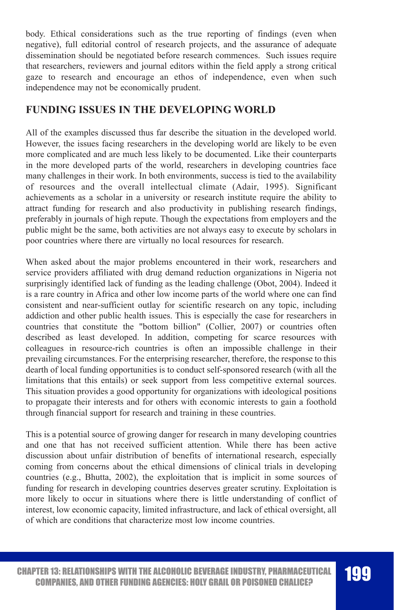body. Ethical considerations such as the true reporting of findings (even when negative), full editorial control of research projects, and the assurance of adequate dissemination should be negotiated before research commences. Such issues require that researchers, reviewers and journal editors within the field apply a strong critical gaze to research and encourage an ethos of independence, even when such independence may not be economically prudent.

### **FUNDING ISSUES IN THE DEVELOPING WORLD**

All of the examples discussed thus far describe the situation in the developed world. However, the issues facing researchers in the developing world are likely to be even more complicated and are much less likely to be documented. Like their counterparts in the more developed parts of the world, researchers in developing countries face many challenges in their work. In both environments, success is tied to the availability of resources and the overall intellectual climate (Adair, 1995). Significant achievements as a scholar in a university or research institute require the ability to attract funding for research and also productivity in publishing research findings, preferably in journals of high repute. Though the expectations from employers and the public might be the same, both activities are not always easy to execute by scholars in poor countries where there are virtually no local resources for research.

When asked about the major problems encountered in their work, researchers and service providers affiliated with drug demand reduction organizations in Nigeria not surprisingly identified lack of funding as the leading challenge (Obot, 2004). Indeed it is a rare country in Africa and other low income parts of the world where one can find consistent and near-sufficient outlay for scientific research on any topic, including addiction and other public health issues. This is especially the case for researchers in countries that constitute the "bottom billion" (Collier, 2007) or countries often described as least developed. In addition, competing for scarce resources with colleagues in resource-rich countries is often an impossible challenge in their prevailing circumstances. For the enterprising researcher, therefore, the response to this dearth of local funding opportunities is to conduct self-sponsored research (with all the limitations that this entails) or seek support from less competitive external sources. This situation provides a good opportunity for organizations with ideological positions to propagate their interests and for others with economic interests to gain a foothold through financial support for research and training in these countries.

This is a potential source of growing danger for research in many developing countries and one that has not received sufficient attention. While there has been active discussion about unfair distribution of benefits of international research, especially coming from concerns about the ethical dimensions of clinical trials in developing countries (e.g., Bhutta, 2002), the exploitation that is implicit in some sources of funding for research in developing countries deserves greater scrutiny. Exploitation is more likely to occur in situations where there is little understanding of conflict of interest, low economic capacity, limited infrastructure, and lack of ethical oversight, all of which are conditions that characterize most low income countries.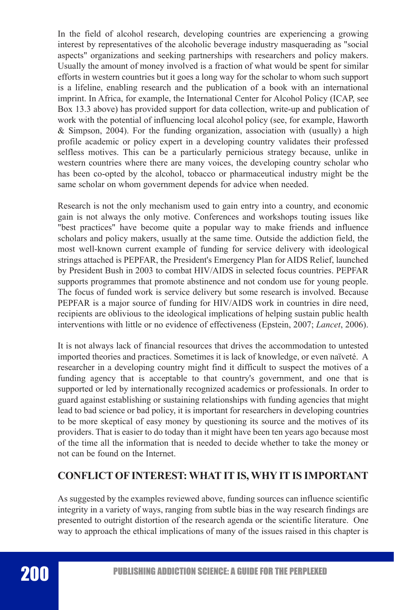In the field of alcohol research, developing countries are experiencing a growing interest by representatives of the alcoholic beverage industry masquerading as "social aspects" organizations and seeking partnerships with researchers and policy makers. Usually the amount of money involved is a fraction of what would be spent for similar efforts in western countries but it goes a long way for the scholar to whom such support is a lifeline, enabling research and the publication of a book with an international imprint. In Africa, for example, the International Center for Alcohol Policy (ICAP, see Box 13.3 above) has provided support for data collection, write-up and publication of work with the potential of influencing local alcohol policy (see, for example, Haworth & Simpson, 2004). For the funding organization, association with (usually) a high profile academic or policy expert in a developing country validates their professed selfless motives. This can be a particularly pernicious strategy because, unlike in western countries where there are many voices, the developing country scholar who has been co-opted by the alcohol, tobacco or pharmaceutical industry might be the same scholar on whom government depends for advice when needed.

Research is not the only mechanism used to gain entry into a country, and economic gain is not always the only motive. Conferences and workshops touting issues like "best practices" have become quite a popular way to make friends and influence scholars and policy makers, usually at the same time. Outside the addiction field, the most well-known current example of funding for service delivery with ideological strings attached is PEPFAR, the President's Emergency Plan for AIDS Relief, launched by President Bush in 2003 to combat HIV/AIDS in selected focus countries. PEPFAR supports programmes that promote abstinence and not condom use for young people. The focus of funded work is service delivery but some research is involved. Because PEPFAR is a major source of funding for HIV/AIDS work in countries in dire need, recipients are oblivious to the ideological implications of helping sustain public health interventions with little or no evidence of effectiveness (Epstein, 2007; *Lancet*, 2006).

It is not always lack of financial resources that drives the accommodation to untested imported theories and practices. Sometimes it is lack of knowledge, or even naïveté. A researcher in a developing country might find it difficult to suspect the motives of a funding agency that is acceptable to that country's government, and one that is supported or led by internationally recognized academics or professionals. In order to guard against establishing or sustaining relationships with funding agencies that might lead to bad science or bad policy, it is important for researchers in developing countries to be more skeptical of easy money by questioning its source and the motives of its providers. That is easier to do today than it might have been ten years ago because most of the time all the information that is needed to decide whether to take the money or not can be found on the Internet.

## **CONFLICT OF INTEREST: WHAT IT IS, WHY IT IS IMPORTANT**

As suggested by the examples reviewed above, funding sources can influence scientific integrity in a variety of ways, ranging from subtle bias in the way research findings are presented to outright distortion of the research agenda or the scientific literature. One way to approach the ethical implications of many of the issues raised in this chapter is

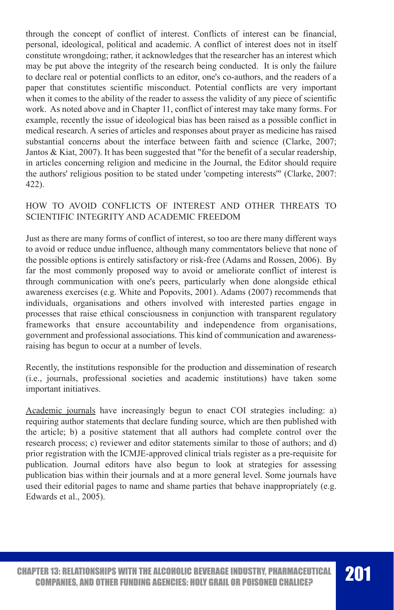through the concept of conflict of interest. Conflicts of interest can be financial, personal, ideological, political and academic. A conflict of interest does not in itself constitute wrongdoing; rather, it acknowledges that the researcher has an interest which may be put above the integrity of the research being conducted. It is only the failure to declare real or potential conflicts to an editor, one's co-authors, and the readers of a paper that constitutes scientific misconduct. Potential conflicts are very important when it comes to the ability of the reader to assess the validity of any piece of scientific work. As noted above and in Chapter 11, conflict of interest may take many forms. For example, recently the issue of ideological bias has been raised as a possible conflict in medical research. A series of articles and responses about prayer as medicine has raised substantial concerns about the interface between faith and science (Clarke, 2007; Jantos & Kiat, 2007). It has been suggested that "for the benefit of a secular readership, in articles concerning religion and medicine in the Journal, the Editor should require the authors' religious position to be stated under 'competing interests'" (Clarke, 2007: 422).

#### HOW TO AVOID CONFLICTS OF INTEREST AND OTHER THREATS TO SCIENTIFIC INTEGRITY AND ACADEMIC FREEDOM

Just as there are many forms of conflict of interest, so too are there many different ways to avoid or reduce undue influence, although many commentators believe that none of the possible options is entirely satisfactory or risk-free (Adams and Rossen, 2006). By far the most commonly proposed way to avoid or ameliorate conflict of interest is through communication with one's peers, particularly when done alongside ethical awareness exercises (e.g. White and Popovits, 2001). Adams (2007) recommends that individuals, organisations and others involved with interested parties engage in processes that raise ethical consciousness in conjunction with transparent regulatory frameworks that ensure accountability and independence from organisations, government and professional associations. This kind of communication and awarenessraising has begun to occur at a number of levels.

Recently, the institutions responsible for the production and dissemination of research (i.e., journals, professional societies and academic institutions) have taken some important initiatives.

Academic journals have increasingly begun to enact COI strategies including: a) requiring author statements that declare funding source, which are then published with the article; b) a positive statement that all authors had complete control over the research process; c) reviewer and editor statements similar to those of authors; and d) prior registration with the ICMJE-approved clinical trials register as a pre-requisite for publication. Journal editors have also begun to look at strategies for assessing publication bias within their journals and at a more general level. Some journals have used their editorial pages to name and shame parties that behave inappropriately (e.g. Edwards et al., 2005).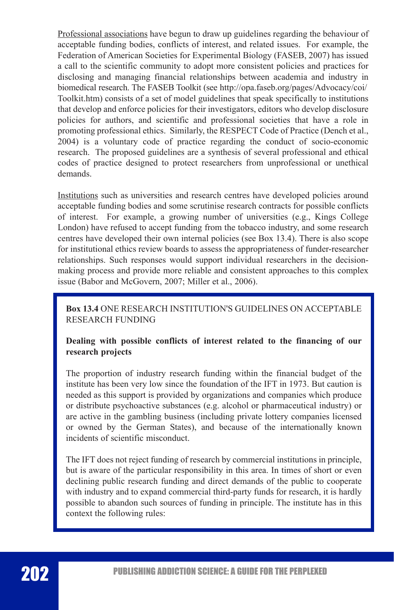Professional associations have begun to draw up guidelines regarding the behaviour of acceptable funding bodies, conflicts of interest, and related issues. For example, the Federation of American Societies for Experimental Biology (FASEB, 2007) has issued a call to the scientific community to adopt more consistent policies and practices for disclosing and managing financial relationships between academia and industry in biomedical research. The FASEB Toolkit (see http://opa.faseb.org/pages/Advocacy/coi/ Toolkit.htm) consists of a set of model guidelines that speak specifically to institutions that develop and enforce policies for their investigators, editors who develop disclosure policies for authors, and scientific and professional societies that have a role in promoting professional ethics. Similarly, the RESPECT Code of Practice (Dench et al., 2004) is a voluntary code of practice regarding the conduct of socio-economic research. The proposed guidelines are a synthesis of several professional and ethical codes of practice designed to protect researchers from unprofessional or unethical demands.

Institutions such as universities and research centres have developed policies around acceptable funding bodies and some scrutinise research contracts for possible conflicts of interest. For example, a growing number of universities (e.g., Kings College London) have refused to accept funding from the tobacco industry, and some research centres have developed their own internal policies (see Box 13.4). There is also scope for institutional ethics review boards to assess the appropriateness of funder-researcher relationships. Such responses would support individual researchers in the decisionmaking process and provide more reliable and consistent approaches to this complex issue (Babor and McGovern, 2007; Miller et al., 2006).

**Box 13.4** ONE RESEARCH INSTITUTION'S GUIDELINES ON ACCEPTABLE RESEARCH FUNDING

#### **Dealing with possible conflicts of interest related to the financing of our research projects**

The proportion of industry research funding within the financial budget of the institute has been very low since the foundation of the IFT in 1973. But caution is needed as this support is provided by organizations and companies which produce or distribute psychoactive substances (e.g. alcohol or pharmaceutical industry) or are active in the gambling business (including private lottery companies licensed or owned by the German States), and because of the internationally known incidents of scientific misconduct.

The IFT does not reject funding of research by commercial institutions in principle, but is aware of the particular responsibility in this area. In times of short or even declining public research funding and direct demands of the public to cooperate with industry and to expand commercial third-party funds for research, it is hardly possible to abandon such sources of funding in principle. The institute has in this context the following rules:

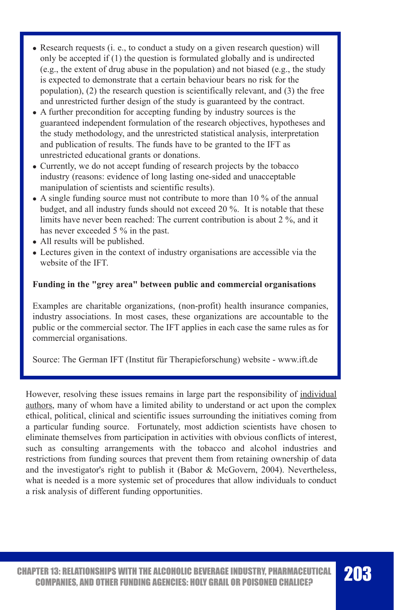- Research requests (i. e., to conduct a study on a given research question) will only be accepted if (1) the question is formulated globally and is undirected (e.g., the extent of drug abuse in the population) and not biased (e.g., the study is expected to demonstrate that a certain behaviour bears no risk for the population), (2) the research question is scientifically relevant, and (3) the free and unrestricted further design of the study is guaranteed by the contract.
- A further precondition for accepting funding by industry sources is the guaranteed independent formulation of the research objectives, hypotheses and the study methodology, and the unrestricted statistical analysis, interpretation and publication of results. The funds have to be granted to the IFT as unrestricted educational grants or donations.
- Currently, we do not accept funding of research projects by the tobacco industry (reasons: evidence of long lasting one-sided and unacceptable manipulation of scientists and scientific results).
- $\bullet$  A single funding source must not contribute to more than 10 % of the annual budget, and all industry funds should not exceed 20 %. It is notable that these limits have never been reached: The current contribution is about 2 %, and it has never exceeded 5 % in the past.
- All results will be published.
- Lectures given in the context of industry organisations are accessible via the website of the IFT.

### **Funding in the "grey area" between public and commercial organisations**

Examples are charitable organizations, (non-profit) health insurance companies, industry associations. In most cases, these organizations are accountable to the public or the commercial sector. The IFT applies in each case the same rules as for commercial organisations.

Source: The German IFT (Institut für Therapieforschung) website - www.ift.de

However, resolving these issues remains in large part the responsibility of individual authors, many of whom have a limited ability to understand or act upon the complex ethical, political, clinical and scientific issues surrounding the initiatives coming from a particular funding source. Fortunately, most addiction scientists have chosen to eliminate themselves from participation in activities with obvious conflicts of interest, such as consulting arrangements with the tobacco and alcohol industries and restrictions from funding sources that prevent them from retaining ownership of data and the investigator's right to publish it (Babor & McGovern, 2004). Nevertheless, what is needed is a more systemic set of procedures that allow individuals to conduct a risk analysis of different funding opportunities.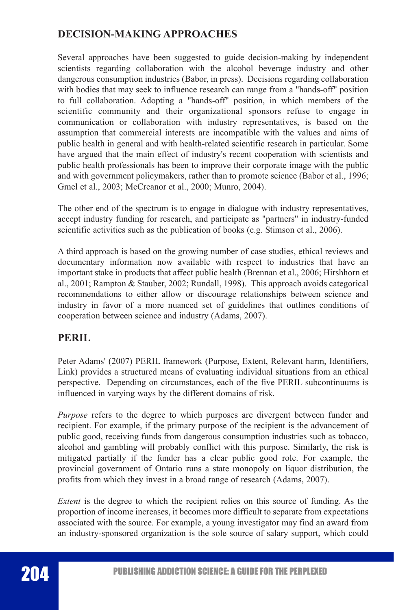# **DECISION-MAKING APPROACHES**

Several approaches have been suggested to guide decision-making by independent scientists regarding collaboration with the alcohol beverage industry and other dangerous consumption industries (Babor, in press). Decisions regarding collaboration with bodies that may seek to influence research can range from a "hands-off" position to full collaboration. Adopting a "hands-off" position, in which members of the scientific community and their organizational sponsors refuse to engage in communication or collaboration with industry representatives, is based on the assumption that commercial interests are incompatible with the values and aims of public health in general and with health-related scientific research in particular. Some have argued that the main effect of industry's recent cooperation with scientists and public health professionals has been to improve their corporate image with the public and with government policymakers, rather than to promote science (Babor et al., 1996; Gmel et al., 2003; McCreanor et al., 2000; Munro, 2004).

The other end of the spectrum is to engage in dialogue with industry representatives, accept industry funding for research, and participate as "partners" in industry-funded scientific activities such as the publication of books (e.g. Stimson et al., 2006).

A third approach is based on the growing number of case studies, ethical reviews and documentary information now available with respect to industries that have an important stake in products that affect public health (Brennan et al., 2006; Hirshhorn et al., 2001; Rampton & Stauber, 2002; Rundall, 1998). This approach avoids categorical recommendations to either allow or discourage relationships between science and industry in favor of a more nuanced set of guidelines that outlines conditions of cooperation between science and industry (Adams, 2007).

### **PERIL**

Peter Adams' (2007) PERIL framework (Purpose, Extent, Relevant harm, Identifiers, Link) provides a structured means of evaluating individual situations from an ethical perspective. Depending on circumstances, each of the five PERIL subcontinuums is influenced in varying ways by the different domains of risk.

*Purpose* refers to the degree to which purposes are divergent between funder and recipient. For example, if the primary purpose of the recipient is the advancement of public good, receiving funds from dangerous consumption industries such as tobacco, alcohol and gambling will probably conflict with this purpose. Similarly, the risk is mitigated partially if the funder has a clear public good role. For example, the provincial government of Ontario runs a state monopoly on liquor distribution, the profits from which they invest in a broad range of research (Adams, 2007).

*Extent* is the degree to which the recipient relies on this source of funding. As the proportion of income increases, it becomes more difficult to separate from expectations associated with the source. For example, a young investigator may find an award from an industry-sponsored organization is the sole source of salary support, which could

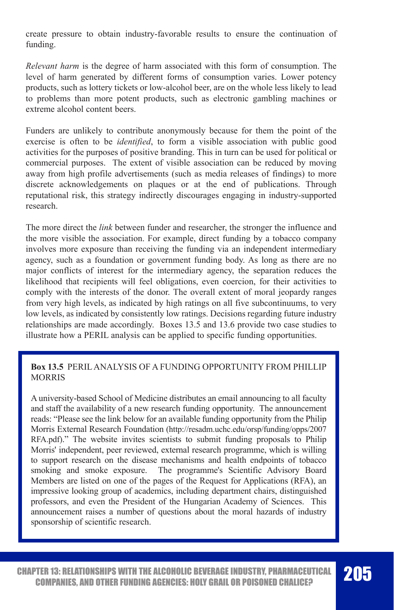create pressure to obtain industry-favorable results to ensure the continuation of funding.

*Relevant harm* is the degree of harm associated with this form of consumption. The level of harm generated by different forms of consumption varies. Lower potency products, such as lottery tickets or low-alcohol beer, are on the whole less likely to lead to problems than more potent products, such as electronic gambling machines or extreme alcohol content beers.

Funders are unlikely to contribute anonymously because for them the point of the exercise is often to be *identified*, to form a visible association with public good activities for the purposes of positive branding. This in turn can be used for political or commercial purposes. The extent of visible association can be reduced by moving away from high profile advertisements (such as media releases of findings) to more discrete acknowledgements on plaques or at the end of publications. Through reputational risk, this strategy indirectly discourages engaging in industry-supported research.

The more direct the *link* between funder and researcher, the stronger the influence and the more visible the association. For example, direct funding by a tobacco company involves more exposure than receiving the funding via an independent intermediary agency, such as a foundation or government funding body. As long as there are no major conflicts of interest for the intermediary agency, the separation reduces the likelihood that recipients will feel obligations, even coercion, for their activities to comply with the interests of the donor. The overall extent of moral jeopardy ranges from very high levels, as indicated by high ratings on all five subcontinuums, to very low levels, as indicated by consistently low ratings. Decisions regarding future industry relationships are made accordingly. Boxes 13.5 and 13.6 provide two case studies to illustrate how a PERIL analysis can be applied to specific funding opportunities.

#### **Box 13.5** PERIL ANALYSIS OF A FUNDING OPPORTUNITY FROM PHILLIP **MORRIS**

A university-based School of Medicine distributes an email announcing to all faculty and staff the availability of a new research funding opportunity. The announcement reads: "Please see the link below for an available funding opportunity from the Philip Morris External Research Foundation (http://resadm.uchc.edu/orsp/funding/opps/2007 RFA.pdf)." The website invites scientists to submit funding proposals to Philip Morris' independent, peer reviewed, external research programme, which is willing to support research on the disease mechanisms and health endpoints of tobacco smoking and smoke exposure. The programme's Scientific Advisory Board Members are listed on one of the pages of the Request for Applications (RFA), an impressive looking group of academics, including department chairs, distinguished professors, and even the President of the Hungarian Academy of Sciences. This announcement raises a number of questions about the moral hazards of industry sponsorship of scientific research.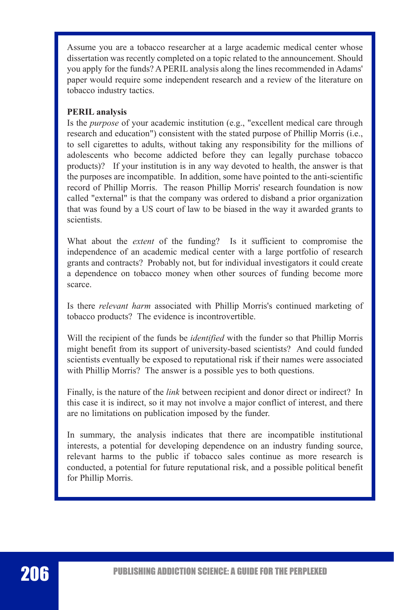Assume you are a tobacco researcher at a large academic medical center whose dissertation was recently completed on a topic related to the announcement. Should you apply for the funds? A PERIL analysis along the lines recommended in Adams' paper would require some independent research and a review of the literature on tobacco industry tactics.

#### **PERIL analysis**

Is the *purpose* of your academic institution (e.g., "excellent medical care through research and education") consistent with the stated purpose of Phillip Morris (i.e., to sell cigarettes to adults, without taking any responsibility for the millions of adolescents who become addicted before they can legally purchase tobacco products)? If your institution is in any way devoted to health, the answer is that the purposes are incompatible. In addition, some have pointed to the anti-scientific record of Phillip Morris. The reason Phillip Morris' research foundation is now called "external" is that the company was ordered to disband a prior organization that was found by a US court of law to be biased in the way it awarded grants to scientists.

What about the *extent* of the funding? Is it sufficient to compromise the independence of an academic medical center with a large portfolio of research grants and contracts? Probably not, but for individual investigators it could create a dependence on tobacco money when other sources of funding become more scarce.

Is there *relevant harm* associated with Phillip Morris's continued marketing of tobacco products? The evidence is incontrovertible.

Will the recipient of the funds be *identified* with the funder so that Phillip Morris might benefit from its support of university-based scientists? And could funded scientists eventually be exposed to reputational risk if their names were associated with Phillip Morris? The answer is a possible yes to both questions.

Finally, is the nature of the *link* between recipient and donor direct or indirect? In this case it is indirect, so it may not involve a major conflict of interest, and there are no limitations on publication imposed by the funder.

In summary, the analysis indicates that there are incompatible institutional interests, a potential for developing dependence on an industry funding source, relevant harms to the public if tobacco sales continue as more research is conducted, a potential for future reputational risk, and a possible political benefit for Phillip Morris.

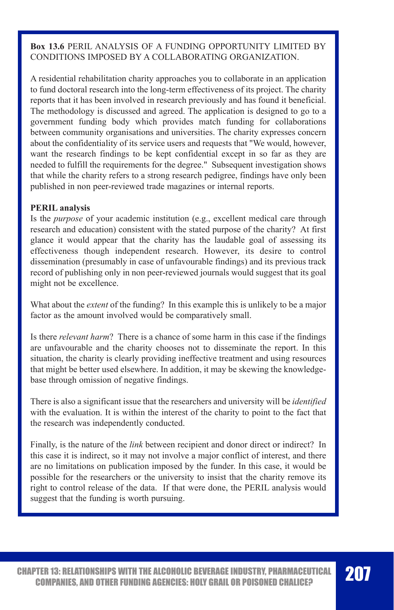#### **Box 13.6** PERIL ANALYSIS OF A FUNDING OPPORTUNITY LIMITED BY CONDITIONS IMPOSED BY A COLLABORATING ORGANIZATION.

A residential rehabilitation charity approaches you to collaborate in an application to fund doctoral research into the long-term effectiveness of its project. The charity reports that it has been involved in research previously and has found it beneficial. The methodology is discussed and agreed. The application is designed to go to a government funding body which provides match funding for collaborations between community organisations and universities. The charity expresses concern about the confidentiality of its service users and requests that "We would, however, want the research findings to be kept confidential except in so far as they are needed to fulfill the requirements for the degree." Subsequent investigation shows that while the charity refers to a strong research pedigree, findings have only been published in non peer-reviewed trade magazines or internal reports.

#### **PERIL analysis**

Is the *purpose* of your academic institution (e.g., excellent medical care through research and education) consistent with the stated purpose of the charity? At first glance it would appear that the charity has the laudable goal of assessing its effectiveness though independent research. However, its desire to control dissemination (presumably in case of unfavourable findings) and its previous track record of publishing only in non peer-reviewed journals would suggest that its goal might not be excellence.

What about the *extent* of the funding? In this example this is unlikely to be a major factor as the amount involved would be comparatively small.

Is there *relevant harm*? There is a chance of some harm in this case if the findings are unfavourable and the charity chooses not to disseminate the report. In this situation, the charity is clearly providing ineffective treatment and using resources that might be better used elsewhere. In addition, it may be skewing the knowledgebase through omission of negative findings.

There is also a significant issue that the researchers and university will be *identified* with the evaluation. It is within the interest of the charity to point to the fact that the research was independently conducted.

Finally, is the nature of the *link* between recipient and donor direct or indirect? In this case it is indirect, so it may not involve a major conflict of interest, and there are no limitations on publication imposed by the funder. In this case, it would be possible for the researchers or the university to insist that the charity remove its right to control release of the data. If that were done, the PERIL analysis would suggest that the funding is worth pursuing.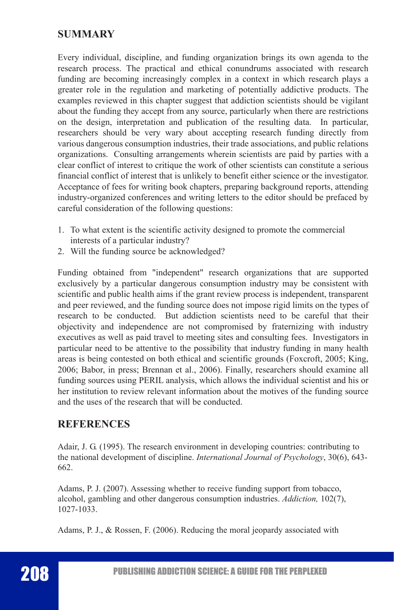### **SUMMARY**

Every individual, discipline, and funding organization brings its own agenda to the research process. The practical and ethical conundrums associated with research funding are becoming increasingly complex in a context in which research plays a greater role in the regulation and marketing of potentially addictive products. The examples reviewed in this chapter suggest that addiction scientists should be vigilant about the funding they accept from any source, particularly when there are restrictions on the design, interpretation and publication of the resulting data. In particular, researchers should be very wary about accepting research funding directly from various dangerous consumption industries, their trade associations, and public relations organizations. Consulting arrangements wherein scientists are paid by parties with a clear conflict of interest to critique the work of other scientists can constitute a serious financial conflict of interest that is unlikely to benefit either science or the investigator. Acceptance of fees for writing book chapters, preparing background reports, attending industry-organized conferences and writing letters to the editor should be prefaced by careful consideration of the following questions:

- 1. To what extent is the scientific activity designed to promote the commercial interests of a particular industry?
- 2. Will the funding source be acknowledged?

Funding obtained from "independent" research organizations that are supported exclusively by a particular dangerous consumption industry may be consistent with scientific and public health aims if the grant review process is independent, transparent and peer reviewed, and the funding source does not impose rigid limits on the types of research to be conducted. But addiction scientists need to be careful that their objectivity and independence are not compromised by fraternizing with industry executives as well as paid travel to meeting sites and consulting fees. Investigators in particular need to be attentive to the possibility that industry funding in many health areas is being contested on both ethical and scientific grounds (Foxcroft, 2005; King, 2006; Babor, in press; Brennan et al., 2006). Finally, researchers should examine all funding sources using PERIL analysis, which allows the individual scientist and his or her institution to review relevant information about the motives of the funding source and the uses of the research that will be conducted.

### **REFERENCES**

Adair, J. G. (1995). The research environment in developing countries: contributing to the national development of discipline. *International Journal of Psychology*, 30(6), 643- 662.

Adams, P. J. (2007). Assessing whether to receive funding support from tobacco, alcohol, gambling and other dangerous consumption industries. *Addiction,* 102(7), 1027-1033.

Adams, P. J., & Rossen, F. (2006). Reducing the moral jeopardy associated with

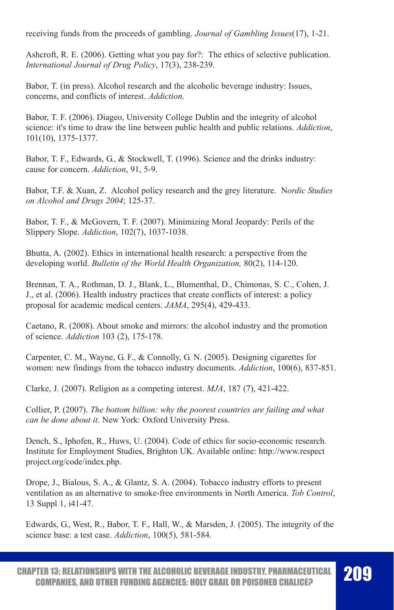receiving funds from the proceeds of gambling. *Journal of Gambling Issues*(17), 1-21.

Ashcroft, R. E. (2006). Getting what you pay for?: The ethics of selective publication. *International Journal of Drug Policy*, 17(3), 238-239.

Babor, T. (in press). Alcohol research and the alcoholic beverage industry: Issues, concerns, and conflicts of interest. *Addiction*.

Babor, T. F. (2006). Diageo, University College Dublin and the integrity of alcohol science: it's time to draw the line between public health and public relations. *Addiction*, 101(10), 1375-1377.

Babor, T. F., Edwards, G., & Stockwell, T. (1996). Science and the drinks industry: cause for concern. *Addiction*, 91, 5-9.

Babor, T.F. & Xuan, Z. Alcohol policy research and the grey literature. N*ordic Studies on Alcohol and Drugs 2004*; 125-37.

Babor, T. F., & McGovern, T. F. (2007). Minimizing Moral Jeopardy: Perils of the Slippery Slope. *Addiction*, 102(7), 1037-1038.

Bhutta, A. (2002). Ethics in international health research: a perspective from the developing world. *Bulletin of the World Health Organization,* 80(2), 114-120.

Brennan, T. A., Rothman, D. J., Blank, L., Blumenthal, D., Chimonas, S. C., Cohen, J. J., et al. (2006). Health industry practices that create conflicts of interest: a policy proposal for academic medical centers. *JAMA*, 295(4), 429-433.

Caetano, R. (2008). About smoke and mirrors: the alcohol industry and the promotion of science. *Addiction* 103 (2), 175-178.

Carpenter, C. M., Wayne, G. F., & Connolly, G. N. (2005). Designing cigarettes for women: new findings from the tobacco industry documents. *Addiction*, 100(6), 837-851.

Clarke, J. (2007). Religion as a competing interest. *MJA*, 187 (7), 421-422.

Collier, P. (2007). *The bottom billion: why the poorest countries are failing and what can be done about it*. New York: Oxford University Press.

Dench, S., Iphofen, R., Huws, U. (2004). Code of ethics for socio-economic research. Institute for Employment Studies, Brighton UK. Available online: http://www.respect project.org/code/index.php.

Drope, J., Bialous, S. A., & Glantz, S. A. (2004). Tobacco industry efforts to present ventilation as an alternative to smoke-free environments in North America. *Tob Control*, 13 Suppl 1, i41-47.

Edwards, G., West, R., Babor, T. F., Hall, W., & Marsden, J. (2005). The integrity of the science base: a test case. *Addiction*, 100(5), 581-584.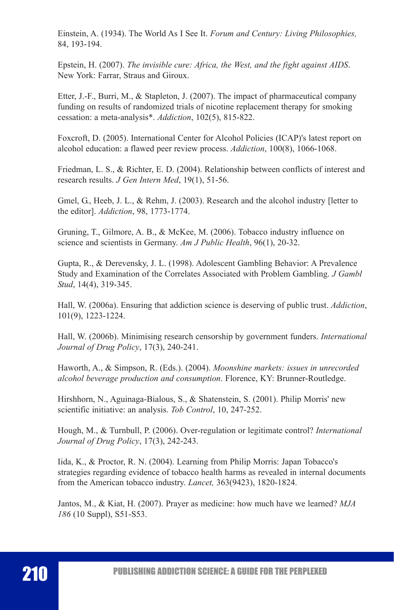Einstein, A. (1934). The World As I See It. *Forum and Century: Living Philosophies,* 84, 193-194.

Epstein, H. (2007). *The invisible cure: Africa, the West, and the fight against AIDS*. New York: Farrar, Straus and Giroux.

Etter, J.-F., Burri, M., & Stapleton, J. (2007). The impact of pharmaceutical company funding on results of randomized trials of nicotine replacement therapy for smoking cessation: a meta-analysis\*. *Addiction*, 102(5), 815-822.

Foxcroft, D. (2005). International Center for Alcohol Policies (ICAP)'s latest report on alcohol education: a flawed peer review process. *Addiction*, 100(8), 1066-1068.

Friedman, L. S., & Richter, E. D. (2004). Relationship between conflicts of interest and research results. *J Gen Intern Med*, 19(1), 51-56.

Gmel, G., Heeb, J. L., & Rehm, J. (2003). Research and the alcohol industry [letter to the editor]. *Addiction*, 98, 1773-1774.

Gruning, T., Gilmore, A. B., & McKee, M. (2006). Tobacco industry influence on science and scientists in Germany. *Am J Public Health*, 96(1), 20-32.

Gupta, R., & Derevensky, J. L. (1998). Adolescent Gambling Behavior: A Prevalence Study and Examination of the Correlates Associated with Problem Gambling. *J Gambl Stud*, 14(4), 319-345.

Hall, W. (2006a). Ensuring that addiction science is deserving of public trust. *Addiction*, 101(9), 1223-1224.

Hall, W. (2006b). Minimising research censorship by government funders. *International Journal of Drug Policy*, 17(3), 240-241.

Haworth, A., & Simpson, R. (Eds.). (2004). *Moonshine markets: issues in unrecorded alcohol beverage production and consumption*. Florence, KY: Brunner-Routledge.

Hirshhorn, N., Aguinaga-Bialous, S., & Shatenstein, S. (2001). Philip Morris' new scientific initiative: an analysis. *Tob Control*, 10, 247-252.

Hough, M., & Turnbull, P. (2006). Over-regulation or legitimate control? *International Journal of Drug Policy*, 17(3), 242-243.

Iida, K., & Proctor, R. N. (2004). Learning from Philip Morris: Japan Tobacco's strategies regarding evidence of tobacco health harms as revealed in internal documents from the American tobacco industry. *Lancet,* 363(9423), 1820-1824.

Jantos, M., & Kiat, H. (2007). Prayer as medicine: how much have we learned? *MJA 186* (10 Suppl), S51-S53.

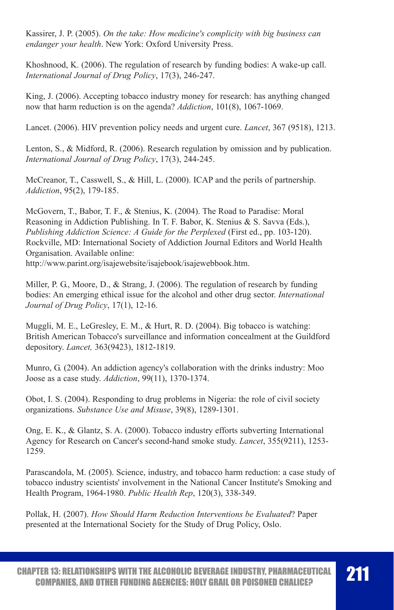Kassirer, J. P. (2005). *On the take: How medicine's complicity with big business can endanger your health*. New York: Oxford University Press.

Khoshnood, K. (2006). The regulation of research by funding bodies: A wake-up call. *International Journal of Drug Policy*, 17(3), 246-247.

King, J. (2006). Accepting tobacco industry money for research: has anything changed now that harm reduction is on the agenda? *Addiction*, 101(8), 1067-1069.

Lancet. (2006). HIV prevention policy needs and urgent cure. *Lancet*, 367 (9518), 1213.

Lenton, S., & Midford, R. (2006). Research regulation by omission and by publication. *International Journal of Drug Policy*, 17(3), 244-245.

McCreanor, T., Casswell, S., & Hill, L. (2000). ICAP and the perils of partnership. *Addiction*, 95(2), 179-185.

McGovern, T., Babor, T. F., & Stenius, K. (2004). The Road to Paradise: Moral Reasoning in Addiction Publishing. In T. F. Babor, K. Stenius & S. Savva (Eds.), *Publishing Addiction Science: A Guide for the Perplexed* (First ed., pp. 103-120). Rockville, MD: International Society of Addiction Journal Editors and World Health Organisation. Available online: http://www.parint.org/isajewebsite/isajebook/isajewebbook.htm.

Miller, P. G., Moore, D., & Strang, J. (2006). The regulation of research by funding bodies: An emerging ethical issue for the alcohol and other drug sector. *International Journal of Drug Policy*, 17(1), 12-16.

Muggli, M. E., LeGresley, E. M., & Hurt, R. D. (2004). Big tobacco is watching: British American Tobacco's surveillance and information concealment at the Guildford depository. *Lancet,* 363(9423), 1812-1819.

Munro, G. (2004). An addiction agency's collaboration with the drinks industry: Moo Joose as a case study. *Addiction*, 99(11), 1370-1374.

Obot, I. S. (2004). Responding to drug problems in Nigeria: the role of civil society organizations. *Substance Use and Misuse*, 39(8), 1289-1301.

Ong, E. K., & Glantz, S. A. (2000). Tobacco industry efforts subverting International Agency for Research on Cancer's second-hand smoke study. *Lancet*, 355(9211), 1253- 1259.

Parascandola, M. (2005). Science, industry, and tobacco harm reduction: a case study of tobacco industry scientists' involvement in the National Cancer Institute's Smoking and Health Program, 1964-1980. *Public Health Rep*, 120(3), 338-349.

Pollak, H. (2007). *How Should Harm Reduction Interventions be Evaluated*? Paper presented at the International Society for the Study of Drug Policy, Oslo.